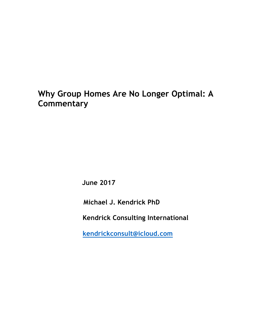# **Why Group Homes Are No Longer Optimal: A Commentary**

 **June 2017**

**Michael J. Kendrick PhD**

 **Kendrick Consulting International**

 **kendrickconsult@icloud.com**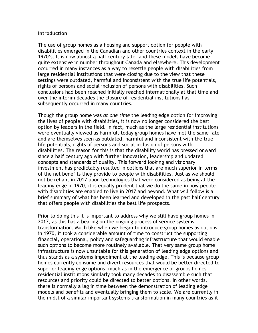#### **Introduction**

The use of group homes as a housing and support option for people with disabilities emerged in the Canadian and other countries context in the early 1970's. It is now almost a half century later and these models have become quite extensive in number throughout Canada and elsewhere. This development occurred in many instances as a way to resettle people with disabilities from large residential institutions that were closing due to the view that these settings were outdated, harmful and inconsistent with the true life potentials, rights of persons and social inclusion of persons with disabilities. Such conclusions had been reached initially reached internationally at that time and over the interim decades the closure of residential institutions has subsequently occurred in many countries.

Though the group home was *at one time* the leading edge option for improving the lives of people with disabilities, it is now no longer considered the best option by leaders in the field. In fact, much as the large residential institutions were eventually viewed as harmful, today group homes have met the same fate and are themselves seen as outdated, harmful and inconsistent with the true life potentials, rights of persons and social inclusion of persons with disabilities. The reason for this is that the disability world has pressed onward since a half century ago with further innovation, leadership and updated concepts and standards of quality. This forward looking and visionary investment has predictably resulted in options that are much superior in terms of the net benefits they provide to people with disabilities. Just as we should not be reliant in 2017 upon technologies that were considered as being at the leading edge in 1970, it is equally prudent that we do the same in how people with disabilities are enabled to live in 2017 and beyond. What will follow is a brief summary of what has been learned and developed in the past half century that offers people with disabilities the best life prospects.

Prior to doing this it is important to address why we still have group homes in 2017, as this has a bearing on the ongoing process of service systems transformation. Much like when we began to introduce group homes as options in 1970, it took a considerable amount of time to construct the supporting financial, operational, policy and safeguarding infrastructure that would enable such options to become more routinely available. That very same group home infrastructure is now unsuitable for this generation of leading edge options and thus stands as a systems impediment at the leading edge. This is because group homes currently consume and divert resources that would be better directed to superior leading edge options, much as in the emergence of groups homes residential institutions similarly took many decades to disassemble such that resources and priority could be directed to better options. In other words, there is normally a lag in time between the demonstration of leading edge models and benefits and eventually bringing them to scale. We are currently in the midst of a similar important systems transformation in many countries as it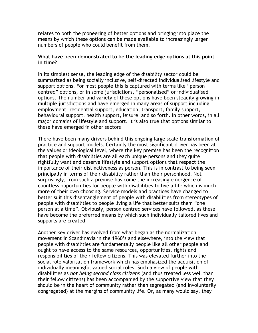relates to both the pioneering of better options and bringing into place the means by which these options can be made available to increasingly larger numbers of people who could benefit from them.

# **What have been demonstrated to be the leading edge options at this point in time?**

In its simplest sense, the leading edge of the disability sector could be summarized as being socially inclusive, self-directed individualised lifestyle and support options. For most people this is captured with terms like "person centred" options, or in some jurisdictions, "personalised" or individualised options. The number and variety of these options have been steadily growing in multiple jurisdictions and have emerged in many areas of support including employment, residential support, education, transport, family support, behavioural support, health support, leisure and so forth. In other words, in all major domains of lifestyle and support. It is also true that options similar to these have emerged in other sectors

There have been many drivers behind this ongoing large scale transformation of practice and support models. Certainly the most significant driver has been at the values or ideological level, where the key premise has been the recognition that people with disabilities are all each unique persons and they quite rightfully want and deserve lifestyle and support options that respect the importance of their distinctiveness as person. This is in contrast to being seen principally in terms of their disability rather than their personhood. Not surprisingly, from such a premise has come the increasing emergence of countless opportunities for people with disabilities to live a life which is much more of their own choosing. Service models and practices have changed to better suit this disentanglement of people with disabilities from stereotypes of people with disabilities to people living a life that better suits them "one person at a time". Obviously, person centred services have followed, as these have become the preferred means by which such individually tailored lives and supports are created.

Another key driver has evolved from what began as the normalization movement in Scandinavia in the 1960's and elsewhere, into the view that people with disabilities are fundamentally people like all other people and ought to have access to the same resources, opportunities, rights and responsibilities of their fellow citizens. This was elevated further into the social role valorisation framework which has emphasized the acquisition of individually meaningful valued social roles. Such a view of people with disabilities as *not being second class citizens* (and thus treated less well than their fellow citizens) has been accompanied by the supportive view that they should be in the heart of community rather than segregated (and involuntarily congregated) at the margins of community life. Or, as many would say, they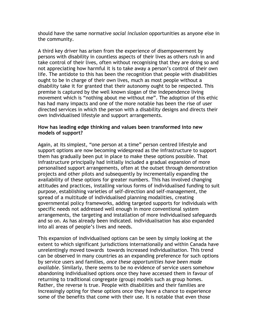should have the same normative *social inclusion* opportunities as anyone else in the community.

A third key driver has arisen from the experience of disempowerment by persons with disability in countless aspects of their lives as others rush in and take control of their lives, often without recognising that they are doing so and not appreciating how harmful it is to take away a person's control of their own life. The antidote to this has been the recognition that people with disabilities ought to be in charge of their own lives, much as most people without a disability take it for granted that their autonomy ought to be respected. This premise is captured by the well known slogan of the independence living movement which is "nothing about me without me". The adoption of this ethic has had many impacts and one of the more notable has been the rise of user directed services in which the person with a disability designs and directs their own individualised lifestyle and support arrangements.

### **How has leading edge thinking and values been transformed into new models of support?**

Again, at its simplest, "one person at a time" person centred lifestyle and support options are now becoming widespread as the infrastructure to support them has gradually been put in place to make these options possible. That infrastructure principally had initially included a gradual expansion of more personalised support arrangements, often at the outset through demonstration projects and other pilots and subsequently by incrementally expanding the availability of these options for greater numbers. This has involved changing attitudes and practices, installing various forms of individualised funding to suit purpose, establishing varieties of self-direction and self-management, the spread of a multitude of individualised planning modalities, creating governmental policy frameworks, adding targeted supports for individuals with specific needs not addressed well enough in more conventional system arrangements, the targeting and installation of more individualised safeguards and so on. As has already been indicated. individualisation has also expanded into all areas of people's lives and needs.

This expansion of individualised options can be seen by simply looking at the extent to which significant jurisdictions internationally and within Canada have unrelentingly moved towards towards increased individualisation. This trend can be observed in many countries as an expanding preference for such options by service users and families, *once these opportunities have been made available*. Similarly, there seems to be no evidence of service users somehow abandoning individualised options once they have accessed them in favour of returning to traditional congregate (group) models such as group homes. Rather, the reverse is true. People with disabilities and their families are increasingly opting for these options once they have a chance to experience some of the benefits that come with their use. It is notable that even those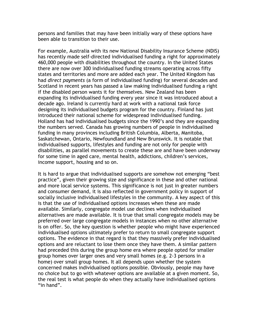persons and families that may have been initially wary of these options have been able to transition to their use.

For example, Australia with its new National Disability Insurance Scheme (NDIS) has recently made self-directed individualised funding a right for approximately 460,000 people with disabilities throughout the country. In the United States there are now over 300 individualised funding streams operating across fifty states and territories and more are added each year. The United Kingdom has had *direct payments* (a form of individualised funding) for several decades and Scotland in recent years has passed a law making individualised funding a right if the disabled person wants it for themselves. New Zealand has been expanding its individualised funding every year since it was introduced about a decade ago. Ireland is currently hard at work with a national task force designing its individualised budgets program for the country. Finland has just introduced their national scheme for widespread individualised funding. Holland has had individualised budgets since the 1990's and they are expanding the numbers served. Canada has growing numbers of people in individualised funding in many provinces including British Columbia, Alberta, Manitoba, Saskatchewan, Ontario, Newfoundland and New Brunswick. It is notable that individualised supports, lifestyles and funding are not only for people with disabilities, as parallel movements to create these are and have been underway for some time in aged care, mental health, addictions, children's services, income support, housing and so on.

It is hard to argue that individualised supports are somehow not emerging "best practice", given their growing size and significance in these and other national and more local service systems. This significance is not just in greater numbers and consumer demand, it is also reflected in government policy in support of socially inclusive individualised lifestyles in the community. A key aspect of this is that the use of individualised options increases when these are made available. Similarly, congregate model use declines when individualised alternatives are made available. It is true that small congregate models may be preferred over large congregate models in instances when no other alternative is on offer. So, the key question is whether people who might have experienced individualised options ultimately prefer to return to small congregate support options. The evidence in that regard is that they massively prefer individualised options and are reluctant to lose them once they have them. A similar pattern had preceded this during the group home era where people opted for smaller group homes over larger ones and very small homes (e.g. 2-3 persons in a home) over small group homes. It all depends upon whether the system concerned makes individualised options possible. Obviously, people may have no choice but to go with whatever options are available at a given moment. So, the real test is what people do when they actually have individualised options "in hand".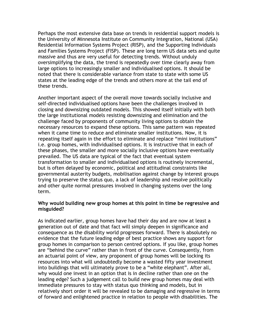Perhaps the most extensive data base on trends in residential support models is the University of Minnesota Institute on Community Integration, National (USA) Residential Information Systems Project (RISP), and the Supporting Individuals and Families Systems Project (FISP). These are long term US data sets and quite massive and thus are very useful for detecting trends. Without unduly oversimplifying the data, the trend is repeatedly over time clearly away from large options to increasingly smaller and individualised options. It should be noted that there is considerable variance from state to state with some US states at the leading edge of the trends and others more at the tail end of these trends.

Another important aspect of the overall move towards socially inclusive and self-directed individualised options have been the challenges involved in closing and downsizing outdated models. This showed itself initially with both the large institutional models resisting downsizing and elimination and the challenge faced by proponents of community living options to obtain the necessary resources to expand these options. This same pattern was repeated when it came time to reduce and eliminate smaller institutions. Now, it is repeating itself again in the effort to eliminate and replace "mini institutions" i.e. group homes, with individualised options. It is instructive that in each of these phases, the smaller and more socially inclusive options have eventually prevailed. The US data are typical of the fact that eventual system transformation to smaller and individualised options is routinely incremental, but is often delayed by economic, political and attitudinal constraints like governmental austerity budgets, mobilisation against change by interest groups trying to preserve the status quo, a lack of leadership and resolve politically and other quite normal pressures involved in changing systems over the long term.

### **Why would building new group homes at this point in time be regressive and misguided?**

As indicated earlier, group homes have had their day and are now at least a generation out of date and that fact will simply deepen in significance and consequence as the disability world progresses forward. There is absolutely no evidence that the future leading edge of best practice shows any support for group homes in comparison to person centred options. If you like, group homes are "behind the curve" rather than in front of the curve. Consequently, from an actuarial point of view, any proponent of group homes will be locking its resources into what will undoubtedly become a wasted fifty year investment into buildings that will ultimately prove to be a "white elephant". After all, why would one invest in an option that is in decline rather than one on the leading edge? Such a judgement call to build new group homes may deal with immediate pressures to stay with status quo thinking and models, but in relatively short order it will be revealed to be damaging and regressive in terms of forward and enlightened practice in relation to people with disabilities. The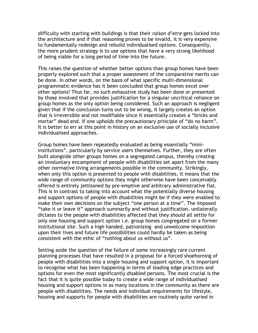difficulty with starting with buildings is that their *raison d'etre* gets locked into the architecture and if that reasoning proves to be invalid, it is very expensive to fundamentally redesign and rebuild individualised options. Consequently, the more prudent strategy is to use options that have a very strong likelihood of being viable for a long period of time into the future.

This raises the question of whether better options than group homes have been properly explored such that a proper assessment of the comparative merits can be done. In other words, on the basis of what specific multi-dimensional programmatic evidence has it been concluded that group homes excel over other options? Thus far, no such exhaustive study has been done or presented by those involved that provides justification for a singular uncritical reliance on group homes as the only option being considered. Such an approach is negligent given that if the conclusion turns out to be wrong, it largely creates an option that is irreversible and not modifiable since it essentially creates a "bricks and mortar" dead end. If one upholds the precautionary principle of "do no harm". It is better to err at this point in history on an exclusive use of socially inclusive individualised approaches.

Group homes have been repeatedly evaluated as being essentially "miniinstitutions", particularly by service users themselves. Further, they are often built alongside other groups homes on a segregated campus, thereby creating an involuntary encampment of people with disabilities set apart from the many other normative living arrangements possible in the community. Strikingly, when only this option is presented to people with disabilities, it means that the wide range of community options they might otherwise have been conceivably offered is entirely jettisoned by pre-emptive and arbitrary administrative fiat. This is in contrast to taking into account what the potentially diverse housing and support options of people with disabilities might be if they were enabled to make their own decisions on the subject "one person at a time". The imposed "take it or leave it" approach summarily and without justification, unilaterally dictates to the people with disabilities affected that they should all settle for only one housing and support option i.e. group homes congregated on a former institutional site. Such a high handed, patronizing and unwelcome imposition upon their lives and future life possibilities could hardly be taken as being consistent with the ethic of "nothing about us without us".

Setting aside the question of the failure of some increasingly rare current planning processes that have resulted in a proposal for a forced shoehorning of people with disabilities into a single housing and support option, it is important to recognise what has been happening in terms of leading edge practices and options for even the most significantly disabled persons. The most crucial is the fact that it is quite possible today to create a wide range of individualised housing and support options in as many locations in the community as there are people with disabilities. The needs and individual requirements for lifestyle, housing and supports for people with disabilities are routinely quite varied in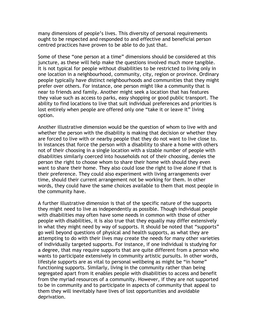many dimensions of people's lives. This diversity of personal requirements ought to be respected and responded to and effective and beneficial person centred practices have proven to be able to do just that.

Some of these "one person at a time" dimensions should be considered at this juncture, as these will help make the questions involved much more tangible. It is not typical for people without disabilities to be restricted to living only in one location in a neighbourhood, community, city, region or province. Ordinary people typically have distinct neighbourhoods and communities that they might prefer over others. For instance, one person might like a community that is near to friends and family. Another might seek a location that has features they value such as access to parks, easy shopping or good public transport. The ability to find locations to live that suit individual preferences and priorities is lost entirely when people are offered only one "take it or leave it" living option.

Another illustrative dimension would be the question of whom to live with and whether the person with the disability is making that decision or whether they are forced to live with or nearby people that they do not want to live close to. In instances that force the person with a disability to share a home with others not of their choosing in a single location with a sizable number of people with disabilities similarly coerced into households not of their choosing, denies the person the right to choose whom to share their home with should they even want to share their home. They also could lose the right to live alone if that is their preference. They could also experiment with living arrangements over time, should their current arrangement not be working for them. In other words, they could have the same choices available to them that most people in the community have.

A further illustrative dimension is that of the specific nature of the supports they might need to live as independently as possible. Though individual people with disabilities may often have some needs in common with those of other people with disabilities, it is also true that they equally may differ extensively in what they might need by way of supports. It should be noted that "supports" go well beyond questions of physical and health supports, as what they are attempting to do with their lives may create the needs for many other varieties of individually targeted supports. For instance, if one individual is studying for a degree, that may require supports that are quite different from a person who wants to participate extensively in community artistic pursuits. In other words, lifestyle supports are as vital to personal wellbeing as might be "in home" functioning supports. Similarly, living in the community rather than being segregated apart from it enables people with disabilities to access and benefit from the myriad resources of a community. However, if they are not supported to be in community and to participate in aspects of community that appeal to them they will inevitably have lives of lost opportunities and avoidable deprivation.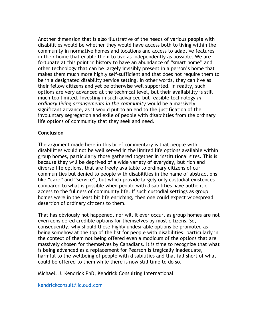Another dimension that is also illustrative of the needs of various people with disabilities would be whether they would have access both to living within the community in normative homes and locations and access to adaptive features in their home that enable them to live as independently as possible. We are fortunate at this point in history to have an abundance of "smart home" and other technology that can be largely invisibly present in a person's home that makes them much more highly self-sufficient and that does not require them to be in a designated disability service setting. In other words, they can live as their fellow citizens and yet be otherwise well supported. In reality, such options are very advanced at the technical level, but their availability is still much too limited. Investing in such advanced but feasible technology *in ordinary living arrangements in the community* would be a massively significant advance, as it would put to an end to the justification of the involuntary segregation and exile of people with disabilities from the ordinary life options of community that they seek and need.

# **Conclusion**

The argument made here in this brief commentary is that people with disabilities would not be well served in the limited life options available within group homes, particularly those gathered together in institutional sites. This is because they will be deprived of a wide variety of everyday, but rich and diverse life options, that are freely available to ordinary citizens of our communities but denied to people with disabilities in the name of abstractions like "care" and "service", but which provide largely only custodial existences compared to what is possible when people with disabilities have authentic access to the fullness of community life. If such custodial settings as group homes were in the least bit life enriching, then one could expect widespread desertion of ordinary citizens to them.

That has obviously not happened, nor will it ever occur, as group homes are not even considered credible options for themselves by most citizens. So, consequently, why should these highly undesirable options be promoted as being somehow at the top of the list for people with disabilities, particularly in the context of them not being offered even a modicum of the options that are massively chosen for themselves by Canadians. It is time to recognize that what is being advanced as a replacement for Pearson is tragically inadequate, harmful to the wellbeing of people with disabilities and that fall short of what could be offered to them while there is now still time to do so.

Michael. J. Kendrick PhD, Kendrick Consulting International

kendrickconsult@icloud.com